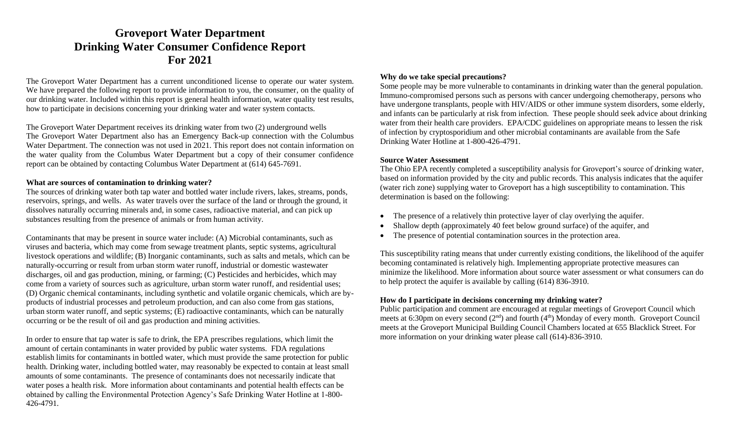# **Groveport Water Department Drinking Water Consumer Confidence Report For 2021**

The Groveport Water Department has a current unconditioned license to operate our water system. We have prepared the following report to provide information to you, the consumer, on the quality of our drinking water. Included within this report is general health information, water quality test results, how to participate in decisions concerning your drinking water and water system contacts.

The Groveport Water Department receives its drinking water from two (2) underground wells The Groveport Water Department also has an Emergency Back-up connection with the Columbus Water Department. The connection was not used in 2021. This report does not contain information on the water quality from the Columbus Water Department but a copy of their consumer confidence report can be obtained by contacting Columbus Water Department at (614) 645-7691.

#### **What are sources of contamination to drinking water?**

The sources of drinking water both tap water and bottled water include rivers, lakes, streams, ponds, reservoirs, springs, and wells. As water travels over the surface of the land or through the ground, it dissolves naturally occurring minerals and, in some cases, radioactive material, and can pick up substances resulting from the presence of animals or from human activity.

Contaminants that may be present in source water include: (A) Microbial contaminants, such as viruses and bacteria, which may come from sewage treatment plants, septic systems, agricultural livestock operations and wildlife; (B) Inorganic contaminants, such as salts and metals, which can be naturally-occurring or result from urban storm water runoff, industrial or domestic wastewater discharges, oil and gas production, mining, or farming; (C) Pesticides and herbicides, which may come from a variety of sources such as agriculture, urban storm water runoff, and residential uses; (D) Organic chemical contaminants, including synthetic and volatile organic chemicals, which are byproducts of industrial processes and petroleum production, and can also come from gas stations, urban storm water runoff, and septic systems; (E) radioactive contaminants, which can be naturally occurring or be the result of oil and gas production and mining activities.

In order to ensure that tap water is safe to drink, the EPA prescribes regulations, which limit the amount of certain contaminants in water provided by public water systems. FDA regulations establish limits for contaminants in bottled water, which must provide the same protection for public health. Drinking water, including bottled water, may reasonably be expected to contain at least small amounts of some contaminants. The presence of contaminants does not necessarily indicate that water poses a health risk. More information about contaminants and potential health effects can be obtained by calling the Environmental Protection Agency's Safe Drinking Water Hotline at 1-800- 426-4791.

#### **Why do we take special precautions?**

Some people may be more vulnerable to contaminants in drinking water than the general population. Immuno-compromised persons such as persons with cancer undergoing chemotherapy, persons who have undergone transplants, people with HIV/AIDS or other immune system disorders, some elderly, and infants can be particularly at risk from infection. These people should seek advice about drinking water from their health care providers. EPA/CDC guidelines on appropriate means to lessen the risk of infection by cryptosporidium and other microbial contaminants are available from the Safe Drinking Water Hotline at 1-800-426-4791.

#### **Source Water Assessment**

The Ohio EPA recently completed a susceptibility analysis for Groveport's source of drinking water, based on information provided by the city and public records. This analysis indicates that the aquifer (water rich zone) supplying water to Groveport has a high susceptibility to contamination. This determination is based on the following:

- The presence of a relatively thin protective layer of clay overlying the aquifer.
- Shallow depth (approximately 40 feet below ground surface) of the aquifer, and
- The presence of potential contamination sources in the protection area.

This susceptibility rating means that under currently existing conditions, the likelihood of the aquifer becoming contaminated is relatively high. Implementing appropriate protective measures can minimize the likelihood. More information about source water assessment or what consumers can do to help protect the aquifer is available by calling (614) 836-3910.

## **How do I participate in decisions concerning my drinking water?**

Public participation and comment are encouraged at regular meetings of Groveport Council which meets at 6:30pm on every second  $(2<sup>nd</sup>)$  and fourth  $(4<sup>th</sup>)$  Monday of every month. Groveport Council meets at the Groveport Municipal Building Council Chambers located at 655 Blacklick Street. For more information on your drinking water please call (614)-836-3910.